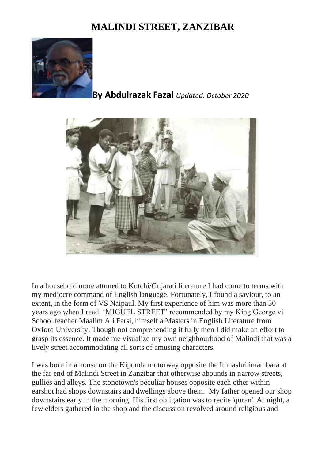## **MALINDI STREET, ZANZIBAR**



## **By Abdulrazak Fazal** *Updated: October 2020*



In a household more attuned to Kutchi/Gujarati literature I had come to terms with my mediocre command of English language. Fortunately, I found a saviour, to an extent, in the form of VS Naipaul. My first experience of him was more than 50 years ago when I read 'MIGUEL STREET' recommended by my King George vi School teacher Maalim Ali Farsi, himself a Masters in English Literature from Oxford University. Though not comprehending it fully then I did make an effort to grasp its essence. It made me visualize my own neighbourhood of Malindi that was a lively street accommodating all sorts of amusing characters.

I was born in a house on the Kiponda motorway opposite the Ithnashri imambara at the far end of Malindi Street in Zanzibar that otherwise abounds in narrow streets, gullies and alleys. The stonetown's peculiar houses opposite each other within earshot had shops downstairs and dwellings above them. My father opened our shop downstairs early in the morning. His first obligation was to recite 'quran'. At night, a few elders gathered in the shop and the discussion revolved around religious and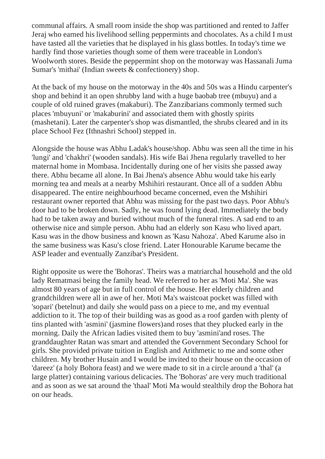communal affairs. A small room inside the shop was partitioned and rented to Jaffer Jeraj who earned his livelihood selling peppermints and chocolates. As a child I must have tasted all the varieties that he displayed in his glass bottles. In today's time we hardly find those varieties though some of them were traceable in London's Woolworth stores. Beside the peppermint shop on the motorway was Hassanali Juma Sumar's 'mithai' (Indian sweets & confectionery) shop.

At the back of my house on the motorway in the 40s and 50s was a Hindu carpenter's shop and behind it an open shrubby land with a huge baobab tree (mbuyu) and a couple of old ruined graves (makaburi). The Zanzibarians commonly termed such places 'mbuyuni' or 'makaburini' and associated them with ghostly spirits (mashetani). Later the carpenter's shop was dismantled, the shrubs cleared and in its place School Fez (Ithnashri School) stepped in.

Alongside the house was Abhu Ladak's house/shop. Abhu was seen all the time in his 'lungi' and 'chakhri' (wooden sandals). His wife Bai Jhena regularly travelled to her maternal home in Mombasa. Incidentally during one of her visits she passed away there. Abhu became all alone. In Bai Jhena's absence Abhu would take his early morning tea and meals at a nearby Mshihiri restaurant. Once all of a sudden Abhu disappeared. The entire neighbourhood became concerned, even the Mshihiri restaurant owner reported that Abhu was missing for the past two days. Poor Abhu's door had to be broken down. Sadly, he was found lying dead. Immediately the body had to be taken away and buried without much of the funeral rites. A sad end to an otherwise nice and simple person. Abhu had an elderly son Kasu who lived apart. Kasu was in the dhow business and known as 'Kasu Nahoza'. Abed Karume also in the same business was Kasu's close friend. Later Honourable Karume became the ASP leader and eventually Zanzibar's President.

Right opposite us were the 'Bohoras'. Theirs was a matriarchal household and the old lady Rematmasi being the family head. We referred to her as 'Moti Ma'. She was almost 80 years of age but in full control of the house. Her elderly children and grandchildren were all in awe of her. Moti Ma's waistcoat pocket was filled with 'sopari' (betelnut) and daily she would pass on a piece to me, and my eventual addiction to it. The top of their building was as good as a roof garden with plenty of tins planted with 'asmini' (jasmine flowers)and roses that they plucked early in the morning. Daily the African ladies visited them to buy 'asmini'and roses. The granddaughter Ratan was smart and attended the Government Secondary School for girls. She provided private tuition in English and Arithmetic to me and some other children. My brother Husain and I would be invited to their house on the occasion of 'dareez' (a holy Bohora feast) and we were made to sit in a circle around a 'thal' (a large platter) containing various delicacies. The 'Bohoras' are very much traditional and as soon as we sat around the 'thaal' Moti Ma would stealthily drop the Bohora hat on our heads.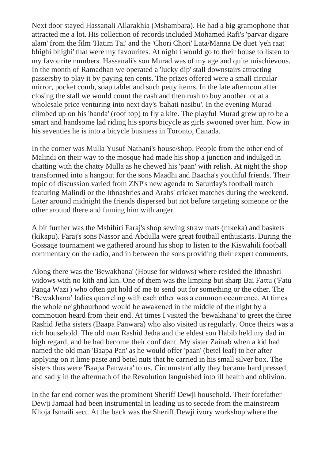Next door stayed Hassanali Allarakhia (Mshambara). He had a big gramophone that attracted me a lot. His collection of records included Mohamed Rafi's 'parvar digare alam' from the film 'Hatim Tai' and the 'Chori Chori' Lata/Manna De duet 'yeh raat bhighi bhighi' that were my favourites. At night i would go to their house to listen to my favourite numbers. Hassanali's son Murad was of my age and quite mischievous. In the month of Ramadhan we operated a 'lucky dip' stall downstairs attracting passersby to play it by paying ten cents. The prizes offered were a small circular mirror, pocket comb, soap tablet and such petty items. In the late afternoon after closing the stall we would count the cash and then rush to buy another lot at a wholesale price venturing into next day's 'bahati nasibu'. In the evening Murad climbed up on his 'banda' (roof top) to fly a kite. The playful Murad grew up to be a smart and handsome lad riding his sports bicycle as girls swooned over him. Now in his seventies he is into a bicycle business in Toronto, Canada.

In the corner was Mulla Yusuf Nathani's house/shop. People from the other end of Malindi on their way to the mosque had made his shop a junction and indulged in chatting with the chatty Mulla as he chewed his 'paan' with relish. At night the shop transformed into a hangout for the sons Maadhi and Baacha's youthful friends. Their topic of discussion varied from ZNP's new agenda to Saturday's football match featuring Malindi or the Ithnashries and Arabs' cricket matches during the weekend. Later around midnight the friends dispersed but not before targeting someone or the other around there and fuming him with anger.

A bit further was the Mshihiri Faraj's shop sewing straw mats (mkeka) and baskets (kikapu). Faraj's sons Nassor and Abdulla were great football enthusiasts. During the Gossage tournament we gathered around his shop to listen to the Kiswahili football commentary on the radio, and in between the sons providing their expert comments.

Along there was the 'Bewakhana' (House for widows) where resided the Ithnashri widows with no kith and kin. One of them was the limping but sharp Bai Fattu ('Fatu Panga Wazi') who often got hold of me to send out for something or the other. The 'Bewakhana' ladies quarreling with each other was a common occurrence. At times the whole neighbourhood would be awakened in the middle of the night by a commotion heard from their end. At times I visited the 'bewakhana' to greet the three Rashid Jetha sisters (Baapa Panwara) who also visited us regularly. Once theirs was a rich household. The old man Rashid Jetha and the eldest son Habib held my dad in high regard, and he had become their confidant. My sister Zainab when a kid had named the old man 'Baapa Pan' as he would offer 'paan' (betel leaf) to her after applying on it lime paste and betel nuts that he carried in his small silver box. The sisters thus were 'Baapa Panwara' to us. Circumstantially they became hard pressed, and sadly in the aftermath of the Revolution languished into ill health and oblivion.

In the far end corner was the prominent Sheriff Dewji household. Their forefather Dewji Jamaal had been instrumental in leading us to secede from the mainstream Khoja Ismaili sect. At the back was the Sheriff Dewji ivory workshop where the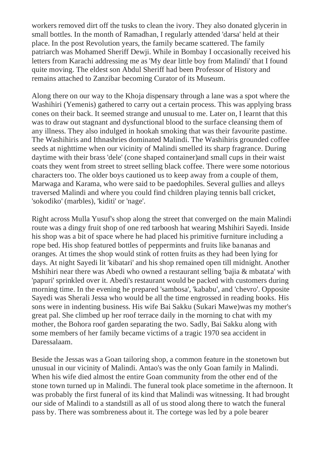workers removed dirt off the tusks to clean the ivory. They also donated glycerin in small bottles. In the month of Ramadhan, I regularly attended 'darsa' held at their place. In the post Revolution years, the family became scattered. The family patriarch was Mohamed Sheriff Dewji. While in Bombay I occasionally received his letters from Karachi addressing me as 'My dear little boy from Malindi' that I found quite moving. The eldest son Abdul Sheriff had been Professor of History and remains attached to Zanzibar becoming Curator of its Museum.

Along there on our way to the Khoja dispensary through a lane was a spot where the Washihiri (Yemenis) gathered to carry out a certain process. This was applying brass cones on their back. It seemed strange and unusual to me. Later on, I learnt that this was to draw out stagnant and dysfunctional blood to the surface cleansing them of any illness. They also indulged in hookah smoking that was their favourite pastime. The Washihiris and Ithnashries dominated Malindi. The Washihiris grounded coffee seeds at nighttime when our vicinity of Malindi smelled its sharp fragrance. During daytime with their brass 'dele' (cone shaped container)and small cups in their waist coats they went from street to street selling black coffee. There were some notorious characters too. The older boys cautioned us to keep away from a couple of them, Marwaga and Karama, who were said to be paedophiles. Several gullies and alleys traversed Malindi and where you could find children playing tennis ball cricket, 'sokodiko' (marbles), 'kiditi' or 'nage'.

Right across Mulla Yusuf's shop along the street that converged on the main Malindi route was a dingy fruit shop of one red tarboosh hat wearing Mshihiri Sayedi. Inside his shop was a bit of space where he had placed his primitive furniture including a rope bed. His shop featured bottles of peppermints and fruits like bananas and oranges. At times the shop would stink of rotten fruits as they had been lying for days. At night Sayedi lit 'kibatari' and his shop remained open till midnight. Another Mshihiri near there was Abedi who owned a restaurant selling 'bajia & mbatata' with 'papuri' sprinkled over it. Abedi's restaurant would be packed with customers during morning time. In the evening he prepared 'sambosa', 'kababu', and 'chevro'. Opposite Sayedi was Sherali Jessa who would be all the time engrossed in reading books. His sons were in indenting business. His wife Bai Sakku (Sukari Mawe)was my mother's great pal. She climbed up her roof terrace daily in the morning to chat with my mother, the Bohora roof garden separating the two. Sadly, Bai Sakku along with some members of her family became victims of a tragic 1970 sea accident in Daressalaam.

Beside the Jessas was a Goan tailoring shop, a common feature in the stonetown but unusual in our vicinity of Malindi. Antao's was the only Goan family in Malindi. When his wife died almost the entire Goan community from the other end of the stone town turned up in Malindi. The funeral took place sometime in the afternoon. It was probably the first funeral of its kind that Malindi was witnessing. It had brought our side of Malindi to a standstill as all of us stood along there to watch the funeral pass by. There was sombreness about it. The cortege was led by a pole bearer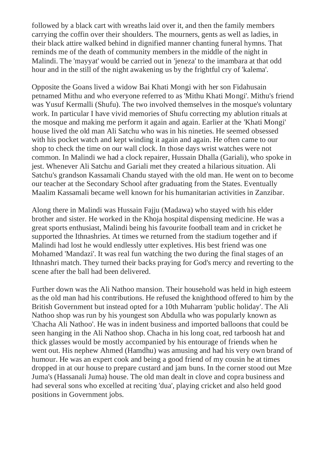followed by a black cart with wreaths laid over it, and then the family members carrying the coffin over their shoulders. The mourners, gents as well as ladies, in their black attire walked behind in dignified manner chanting funeral hymns. That reminds me of the death of community members in the middle of the night in Malindi. The 'mayyat' would be carried out in 'jeneza' to the imambara at that odd hour and in the still of the night awakening us by the frightful cry of 'kalema'.

Opposite the Goans lived a widow Bai Khati Mongi with her son Fidahusain petnamed Mithu and who everyone referred to as 'Mithu Khati Mongi'. Mithu's friend was Yusuf Kermalli (Shufu). The two involved themselves in the mosque's voluntary work. In particular I have vivid memories of Shufu correcting my ablution rituals at the mosque and making me perform it again and again. Earlier at the 'Khati Mongi' house lived the old man Ali Satchu who was in his nineties. He seemed obsessed with his pocket watch and kept winding it again and again. He often came to our shop to check the time on our wall clock. In those days wrist watches were not common. In Malindi we had a clock repairer, Hussain Dhalla (Gariali), who spoke in jest. Whenever Ali Satchu and Gariali met they created a hilarious situation. Ali Satchu's grandson Kassamali Chandu stayed with the old man. He went on to become our teacher at the Secondary School after graduating from the States. Eventually Maalim Kassamali became well known for his humanitarian activities in Zanzibar.

Along there in Malindi was Hussain Fajju (Madawa) who stayed with his elder brother and sister. He worked in the Khoja hospital dispensing medicine. He was a great sports enthusiast, Malindi being his favourite football team and in cricket he supported the Ithnashries. At times we returned from the stadium together and if Malindi had lost he would endlessly utter expletives. His best friend was one Mohamed 'Mandazi'. It was real fun watching the two during the final stages of an Ithnashri match. They turned their backs praying for God's mercy and reverting to the scene after the ball had been delivered.

Further down was the Ali Nathoo mansion. Their household was held in high esteem as the old man had his contributions. He refused the knighthood offered to him by the British Government but instead opted for a 10th Muharram 'public holiday'. The Ali Nathoo shop was run by his youngest son Abdulla who was popularly known as 'Chacha Ali Nathoo'. He was in indent business and imported balloons that could be seen hanging in the Ali Nathoo shop. Chacha in his long coat, red tarboosh hat and thick glasses would be mostly accompanied by his entourage of friends when he went out. His nephew Ahmed (Hamdhu) was amusing and had his very own brand of humour. He was an expert cook and being a good friend of my cousin he at times dropped in at our house to prepare custard and jam buns. In the corner stood out Mze Juma's (Hassanali Juma) house. The old man dealt in clove and copra business and had several sons who excelled at reciting 'dua', playing cricket and also held good positions in Government jobs.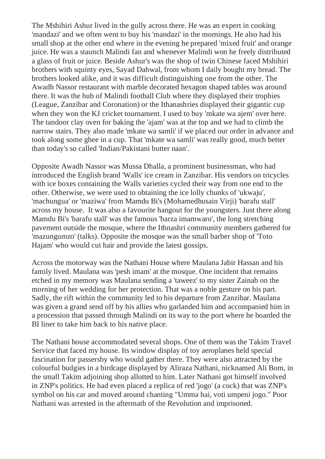The Mshihiri Ashur lived in the gully across there. He was an expert in cooking 'mandazi' and we often went to buy his 'mandazi' in the mornings. He also had his small shop at the other end where in the evening he prepared 'mixed fruit' and orange juice. He was a staunch Malindi fan and whenever Malindi won he freely distributed a glass of fruit or juice. Beside Ashur's was the shop of twin Chinese faced Mshihiri brothers with squinty eyes, Sayad Dahwal, from whom I daily bought my bread. The brothers looked alike, and it was difficult distinguishing one from the other. The Awadh Nassor restaurant with marble decorated hexagon shaped tables was around there. It was the hub of Malindi football Club where they displayed their trophies (League, Zanzibar and Coronation) or the Ithanashries displayed their gigantic cup when they won the KJ cricket tournament. I used to buy 'mkate wa ajem' over here. The tandoor clay oven for baking the 'ajam' was at the top and we had to climb the narrow stairs. They also made 'mkate wa samli' if we placed our order in advance and took along some ghee in a cup. That 'mkate wa samli' was really good, much better than today's so called 'Indian/Pakistani butter naan'.

Opposite Awadh Nassor was Mussa Dhalla, a prominent businessman, who had introduced the English brand 'Walls' ice cream in Zanzibar. His vendors on tricycles with ice boxes containing the Walls varieties cycled their way from one end to the other. Otherwise, we were used to obtaining the ice lolly chunks of 'ukwaju', 'machungua' or 'maziwa' from Mamdu Bi's (Mohamedhusain Virji) 'barafu stall' across my house. It was also a favourite hangout for the youngsters. Just there along Mamdu Bi's 'barafu stall' was the famous 'barza imamwaro', the long stretching pavement outside the mosque, where the Ithnashri community members gathered for 'mazungumzo' (talks). Opposite the mosque was the small barber shop of 'Toto Hajam' who would cut hair and provide the latest gossips.

Across the motorway was the Nathani House where Maulana Jabir Hassan and his family lived. Maulana was 'pesh imam' at the mosque. One incident that remains etched in my memory was Maulana sending a 'taweez' to my sister Zainab on the morning of her wedding for her protection. That was a noble gesture on his part. Sadly, the rift within the community led to his departure from Zanzibar. Maulana was given a grand send off by his allies who garlanded him and accompanied him in a procession that passed through Malindi on its way to the port where he boarded the BI liner to take him back to his native place.

The Nathani house accommodated several shops. One of them was the Takim Travel Service that faced my house. Its window display of toy aeroplanes held special fascination for passersby who would gather there. They were also attracted by the colourful budgies in a birdcage displayed by Aliraza Nathani, nicknamed Ali Bom, in the small Takim adjoining shop allotted to him. Later Nathani got himself involved in ZNP's politics. He had even placed a replica of red 'jogo' (a cock) that was ZNP's symbol on his car and moved around chanting "Umma hai, voti umpeni jogo." Poor Nathani was arrested in the aftermath of the Revolution and imprisoned.